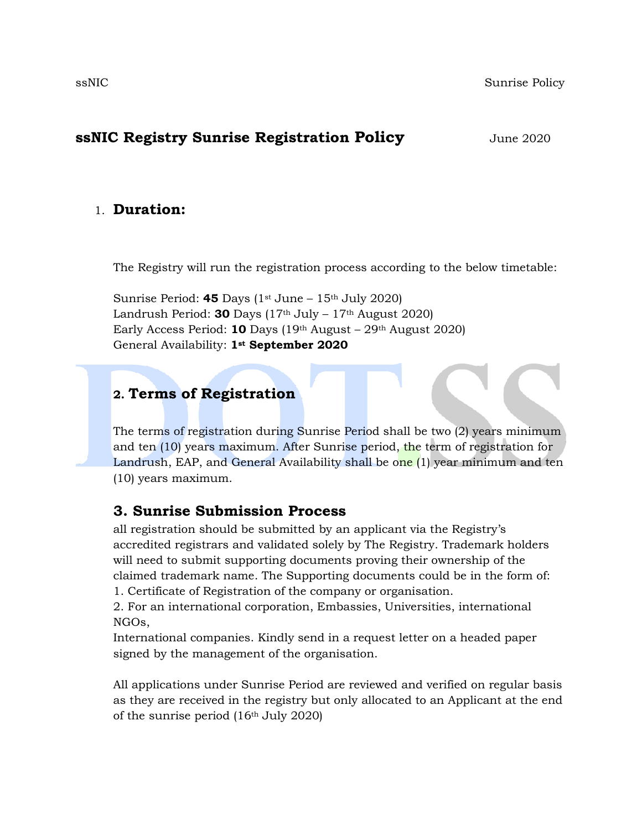### **ssNIC Registry Sunrise Registration Policy** *June 2020*

#### 1. **Duration:**

The Registry will run the registration process according to the below timetable:

Sunrise Period:  $45$  Days ( $1<sup>st</sup>$  June –  $15<sup>th</sup>$  July 2020) Landrush Period: **30** Days  $(17<sup>th</sup>$  July –  $17<sup>th</sup>$  August 2020) Early Access Period: **10** Days (19th August – 29th August 2020) General Availability: **1st September 2020**

### **2. Terms of Registration**

The terms of registration during Sunrise Period shall be two (2) years minimum and ten (10) years maximum. After Sunrise period, the term of registration for Landrush, EAP, and General Availability shall be one (1) year minimum and ten (10) years maximum.

### **3. Sunrise Submission Process**

all registration should be submitted by an applicant via the Registry's accredited registrars and validated solely by The Registry. Trademark holders will need to submit supporting documents proving their ownership of the claimed trademark name. The Supporting documents could be in the form of: 1. Certificate of Registration of the company or organisation.

2. For an international corporation, Embassies, Universities, international NGOs,

International companies. Kindly send in a request letter on a headed paper signed by the management of the organisation.

All applications under Sunrise Period are reviewed and verified on regular basis as they are received in the registry but only allocated to an Applicant at the end of the sunrise period (16th July 2020)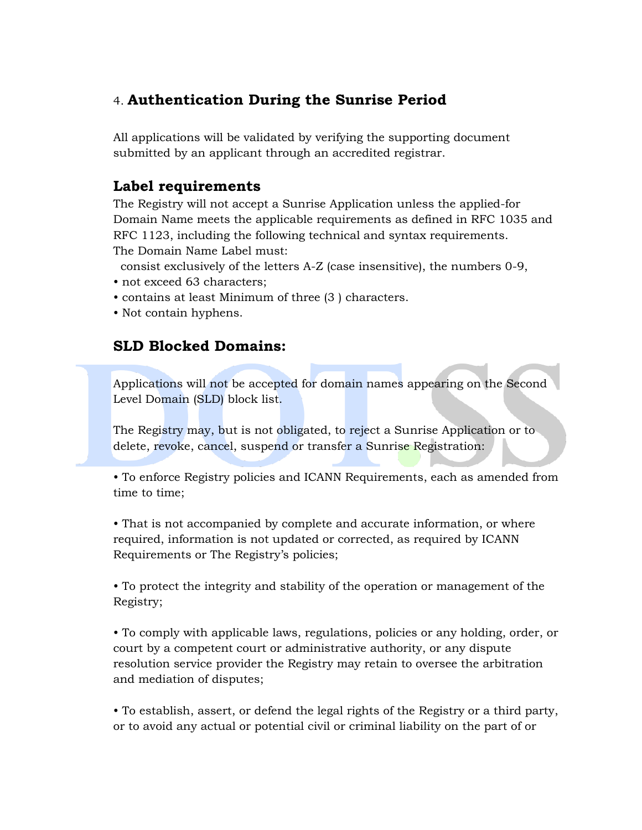# 4. **Authentication During the Sunrise Period**

All applications will be validated by verifying the supporting document submitted by an applicant through an accredited registrar.

# **Label requirements**

The Registry will not accept a Sunrise Application unless the applied-for Domain Name meets the applicable requirements as defined in RFC 1035 and RFC 1123, including the following technical and syntax requirements. The Domain Name Label must:

consist exclusively of the letters A-Z (case insensitive), the numbers 0-9,

- not exceed 63 characters;
- contains at least Minimum of three (3 ) characters.
- Not contain hyphens.

# **SLD Blocked Domains:**

Applications will not be accepted for domain names appearing on the Second Level Domain (SLD) block list.

The Registry may, but is not obligated, to reject a Sunrise Application or to delete, revoke, cancel, suspend or transfer a Sunrise Registration:

• To enforce Registry policies and ICANN Requirements, each as amended from time to time;

• That is not accompanied by complete and accurate information, or where required, information is not updated or corrected, as required by ICANN Requirements or The Registry's policies;

• To protect the integrity and stability of the operation or management of the Registry;

• To comply with applicable laws, regulations, policies or any holding, order, or court by a competent court or administrative authority, or any dispute resolution service provider the Registry may retain to oversee the arbitration and mediation of disputes;

• To establish, assert, or defend the legal rights of the Registry or a third party, or to avoid any actual or potential civil or criminal liability on the part of or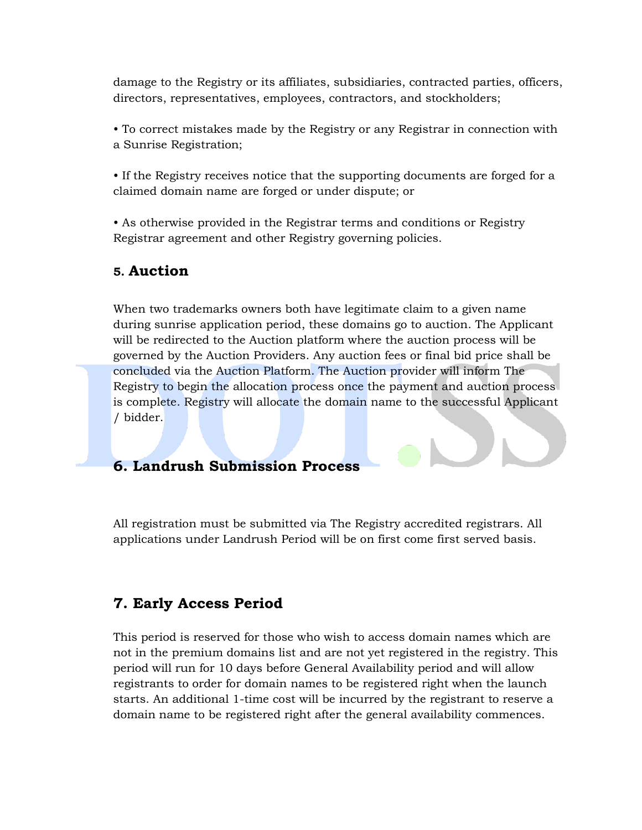damage to the Registry or its affiliates, subsidiaries, contracted parties, officers, directors, representatives, employees, contractors, and stockholders;

• To correct mistakes made by the Registry or any Registrar in connection with a Sunrise Registration;

• If the Registry receives notice that the supporting documents are forged for a claimed domain name are forged or under dispute; or

• As otherwise provided in the Registrar terms and conditions or Registry Registrar agreement and other Registry governing policies.

### **5. Auction**

When two trademarks owners both have legitimate claim to a given name during sunrise application period, these domains go to auction. The Applicant will be redirected to the Auction platform where the auction process will be governed by the Auction Providers. Any auction fees or final bid price shall be concluded via the Auction Platform. The Auction provider will inform The Registry to begin the allocation process once the payment and auction process is complete. Registry will allocate the domain name to the successful Applicant / bidder.

## **6. Landrush Submission Process**

All registration must be submitted via The Registry accredited registrars. All applications under Landrush Period will be on first come first served basis.

## **7. Early Access Period**

This period is reserved for those who wish to access domain names which are not in the premium domains list and are not yet registered in the registry. This period will run for 10 days before General Availability period and will allow registrants to order for domain names to be registered right when the launch starts. An additional 1-time cost will be incurred by the registrant to reserve a domain name to be registered right after the general availability commences.